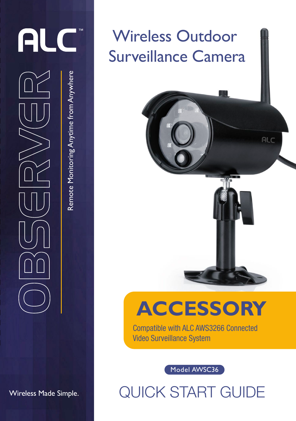

Remote Monitoring Anytime from Anywhere

Remote Monitoring Anytime from Anywhere

Wireless Made Simple.

## Wireless Outdoor Surveillance Camera

## **ACCESSORY**

ALC

Compatible with ALC AWS3266 Connected Video Surveillance System

Model AWSC36

QUICK START GUIDE